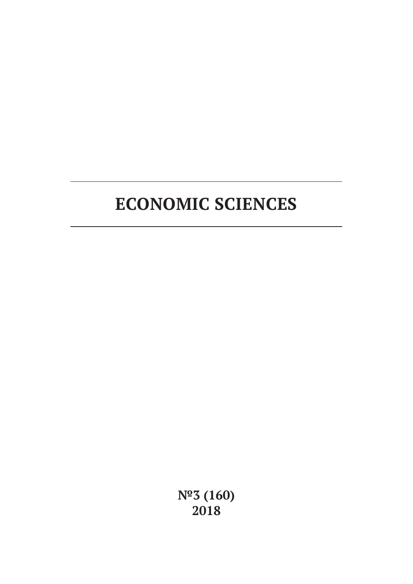# **ECONOMIC SCIENCES**

**№3 (160) 2018**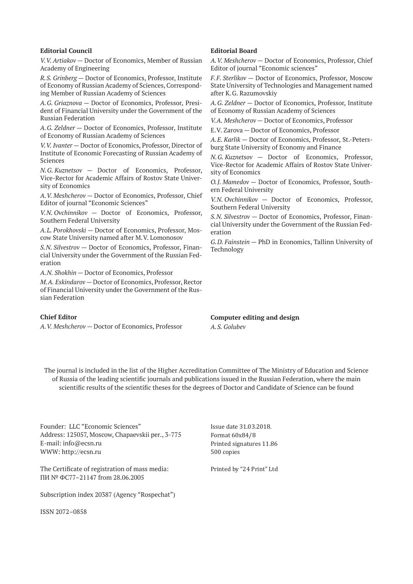#### **Editorial Council**

*V.V. Artiakov* — Doctor of Economics, Member of Russian Academy of Engineering

*R.S. Grinberg* — Doctor of Economics, Professor, Institute of Economy of Russian Academy of Sciences, Corresponding Member of Russian Academy of Sciences

*A.G. Griaznova* — Doctor of Economics, Professor, President of Financial University under the Government of the Russian Federation

*A.G. Zeldner* — Doctor of Economics, Professor, Institute of Economy of Russian Academy of Sciences

*V.V. Ivanter* — Doctor of Economics, Professor, Director of Institute of Economic Forecasting of Russian Academy of Sciences

*N.G. Kuznetsov* — Doctor of Economics, Professor, Vice-Rector for Academic Affairs of Rostov State University of Economics

*A.V. Meshcherov* — Doctor of Economics, Professor, Chief Editor of journal "Economic Sciences"

*V.N. Ovchinnikov* — Doctor of Economics, Professor, Southern Federal University

*A.L. Porokhovski* — Doctor of Economics, Professor, Moscow State University named after M.V. Lomonosov

*S.N. Silvestrov* — Doctor of Economics, Professor, Financial University under the Government of the Russian Federation

*A.N. Shokhin* — Doctor of Economics, Professor

*M.A. Eskindarov* — Doctor of Economics, Professor, Rector of Financial University under the Government of the Russian Federation

## **Chief Editor**

*A.V. Meshcherov* — Doctor of Economics, Professor

## **Editorial Board**

*A.V. Meshcherov* — Doctor of Economics, Professor, Chief Editor of journal "Economic sciences"

*F.F. Sterlikov* — Doctor of Economics, Professor, Moscow State University of Technologies and Management named after K.G. Razumovskiy

*A.G. Zeldner* — Doctor of Economics, Professor, Institute of Economy of Russian Academy of Sciences

*V.A. Meshcherov* — Doctor of Economics, Professor

E.V. Zarova — Doctor of Economics, Professor

*A.E. Karlik* — Doctor of Economics, Professor, St.-Petersburg State University of Economy and Finance

*N.G. Kuznetsov* — Doctor of Economics, Professor, Vice-Rector for Academic Affairs of Rostov State University of Economics

*O.J. Mamedov* — Doctor of Economics, Professor, Southern Federal University

*V.N. Ovchinnikov* — Doctor of Economics, Professor, Southern Federal University

*S.N. Silvestrov* — Doctor of Economics, Professor, Financial University under the Government of the Russian Federation

*G.D. Fainstein* — PhD in Economics, Tallinn University of Technology

# **Computer editing and design**

*A.S. Golubev*

The journal is included in the list of the Higher Accreditation Committee of The Ministry of Education and Science of Russia of the leading scientific journals and publications issued in the Russian Federation, where the main scientific results of the scientific theses for the degrees of Doctor and Candidate of Science can be found

Founder: LLC "Economic Sciences" Address: 125057, Moscow, Chapaevskii per., 3-775 E-mail: info@ecsn.ru WWW: http://ecsn.ru

The Certificate of registration of mass media: ПИ № ФС77–21147 from 28.06.2005

Subscription index 20387 (Agency "Rospechat")

ISSN 2072–0858

Issue date 31.03.2018. Format 60х84/8 Printed signatures 11.86 500 copies

Printed by "24 Print" Ltd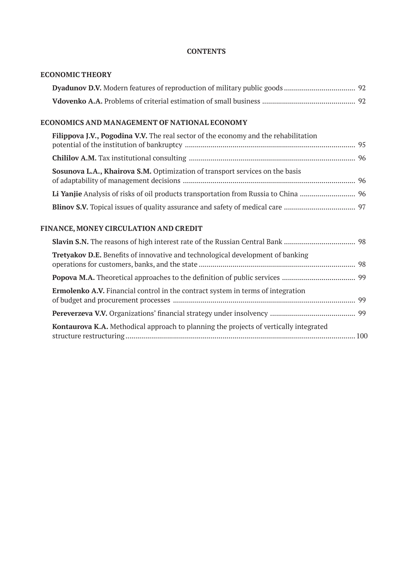# **CONTENTS**

| <b>ECONOMIC THEORY</b>                                                                 |
|----------------------------------------------------------------------------------------|
|                                                                                        |
|                                                                                        |
| ECONOMICS AND MANAGEMENT OF NATIONAL ECONOMY                                           |
| Filippova J.V., Pogodina V.V. The real sector of the economy and the rehabilitation    |
|                                                                                        |
| Sosunova L.A., Khairova S.M. Optimization of transport services on the basis           |
| Li Yanjie Analysis of risks of oil products transportation from Russia to China  96    |
|                                                                                        |
| FINANCE, MONEY CIRCULATION AND CREDIT                                                  |
|                                                                                        |
| Tretyakov D.E. Benefits of innovative and technological development of banking         |
|                                                                                        |
| <b>Ermolenko A.V.</b> Financial control in the contract system in terms of integration |
|                                                                                        |
| Kontaurova K.A. Methodical approach to planning the projects of vertically integrated  |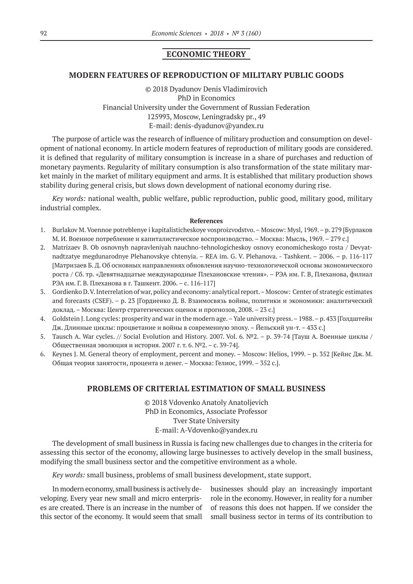# **ECONOMIC THEORY**

#### **MODERN FEATURES OF REPRODUCTION OF MILITARY PUBLIC GOODS**

©© 2018 Dyadunov Denis Vladimirovich PhD in Economics Financial University under the Government of Russian Federation 125993, Moscow, Leningradsky pr., 49 E-mail: denis-dyadunov@yandex.ru

The purpose of article was the research of influence of military production and consumption on development of national economy. In article modern features of reproduction of military goods are considered. it is defined that regularity of military consumption is increase in a share of purchases and reduction of monetary payments. Regularity of military consumption is also transformation of the state military market mainly in the market of military equipment and arms. It is established that military production shows stability during general crisis, but slows down development of national economy during rise.

*Key words:* national wealth, public welfare, public reproduction, public good, military good, military industrial complex.

#### **References**

- 1. Burlakov M. Voennoe potreblenye i kapitalisticheskoye vosproizvodstvo. Moscow: Mysl, 1969. p. 279 [Бурлаков М. И. Военное потребление и капиталистическое воспроизводство. – Москва: Мысль, 1969. – 279 с.]
- 2. Matrizaev B. Ob osnovnyh napravleniyah nauchno-tehnologicheskoy osnovy economicheskogo rosta / Devyatnadtzatye megdunarodnye Plehanovskye chtenyia. – REA im. G. V. Plehanova. - Tashkent. – 2006. – p. 116-117 [Матризаев Б. Д. Об основных направлениях обновления научно-технологической основы экономического роста / Сб. тр. «Девятнадцатые международные Плехановские чтения». – РЭА им. Г. В, Плеханова, филиал РЭА им. Г. В. Плеханова в г. Ташкент. 2006. – с. 116-117]
- 3. Gordienko D. V. Interrelation of war, policy and economy: analytical report. Moscow: Center of strategic estimates and forecasts (CSEF). – p. 23 [Гордиенко Д. В. Взаимосвязь войны, политики и экономики: аналитический доклад. – Москва: Центр стратегических оценок и прогнозов, 2008. – 23 с.]
- 4. Goldstein J. Long cycles: prosperity and war in the modern age. Yale university press. 1988. p. 433 [Голдштейн Дж. Длинные циклы: процветание и войны в современную эпоху. – Йельский ун-т. – 433 с.]
- 5. Tausch A. War cycles. // Social Evolution and History. 2007. Vol. 6. №2. p. 39-74 [Тауш А. Военные циклы / Общественная эволюция и история. 2007 г. т. 6. №2. – с. 39-74].
- 6. Keynes J. M. General theory of employment, percent and money. Moscow: Helios, 1999. р. 352 [Кейнс Дж. М. Общая теория занятости, процента и денег. – Москва: Гелиос, 1999. – 352 с.].

# **PROBLEMS OF CRITERIAL ESTIMATION OF SMALL BUSINESS**

©© 2018 Vdovenko Anatoly Anatoljevich PhD in Economics, Associate Professor Tver State University E-mail: A-Vdovenko@yandex.ru

The development of small business in Russia is facing new challenges due to changes in the criteria for assessing this sector of the economy, allowing large businesses to actively develop in the small business, modifying the small business sector and the competitive environment as a whole.

*Key words:* small business, problems of small business development, state support.

In modern economy, small business is actively developing. Every year new small and micro enterprises are created. There is an increase in the number of this sector of the economy. It would seem that small businesses should play an increasingly important role in the economy. However, in reality for a number of reasons this does not happen. If we consider the small business sector in terms of its contribution to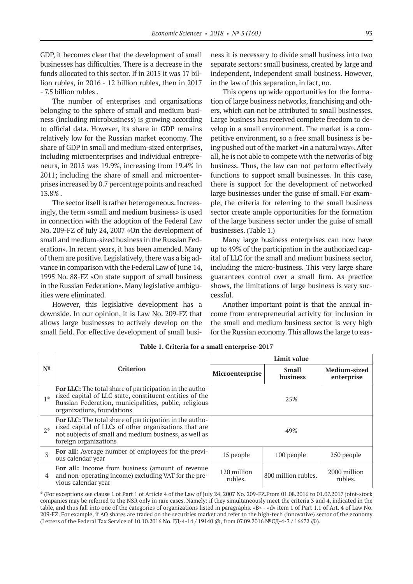GDP, it becomes clear that the development of small businesses has difficulties. There is a decrease in the funds allocated to this sector. If in 2015 it was 17 billion rubles, in 2016 - 12 billion rubles, then in 2017 - 7.5 billion rubles .

The number of enterprises and organizations belonging to the sphere of small and medium business (including microbusiness) is growing according to official data. However, its share in GDP remains relatively low for the Russian market economy. The share of GDP in small and medium-sized enterprises, including microenterprises and individual entrepreneurs, in 2015 was 19.9%, increasing from 19.4% in 2011; including the share of small and microenterprises increased by 0.7 percentage points and reached 13.8% .

The sector itself is rather heterogeneous. Increasingly, the term «small and medium business» is used in connection with the adoption of the Federal Law No. 209-FZ of July 24, 2007 «On the development of small and medium-sized business in the Russian Federation». In recent years, it has been amended. Many of them are positive. Legislatively, there was a big advance in comparison with the Federal Law of June 14, 1995 No. 88-FZ «On state support of small business in the Russian Federation». Many legislative ambiguities were eliminated.

However, this legislative development has a downside. In our opinion, it is Law No. 209-FZ that allows large businesses to actively develop on the small field. For effective development of small business it is necessary to divide small business into two separate sectors: small business, created by large and independent, independent small business. However, in the law of this separation, in fact, no.

This opens up wide opportunities for the formation of large business networks, franchising and others, which can not be attributed to small businesses. Large business has received complete freedom to develop in a small environment. The market is a competitive environment, so a free small business is being pushed out of the market «in a natural way». After all, he is not able to compete with the networks of big business. Thus, the law can not perform effectively functions to support small businesses. In this case, there is support for the development of networked large businesses under the guise of small. For example, the criteria for referring to the small business sector create ample opportunities for the formation of the large business sector under the guise of small businesses. (Table 1.)

Many large business enterprises can now have up to 49% of the participation in the authorized capital of LLC for the small and medium business sector, including the micro-business. This very large share guarantees control over a small firm. As practice shows, the limitations of large business is very successful.

Another important point is that the annual income from entrepreneurial activity for inclusion in the small and medium business sector is very high for the Russian economy. This allows the large to eas-

| N <sup>2</sup> | Criterion                                                                                                                                                                                                        | Limit value            |                          |                            |
|----------------|------------------------------------------------------------------------------------------------------------------------------------------------------------------------------------------------------------------|------------------------|--------------------------|----------------------------|
|                |                                                                                                                                                                                                                  | Microenterprise        | <b>Small</b><br>business | Medium-sized<br>enterprise |
| $1*$           | <b>For LLC:</b> The total share of participation in the autho-<br>rized capital of LLC state, constituent entities of the<br>Russian Federation, municipalities, public, religious<br>organizations, foundations | 25%                    |                          |                            |
| $2*$           | For LLC: The total share of participation in the autho-<br>rized capital of LLCs of other organizations that are<br>not subjects of small and medium business, as well as<br>foreign organizations               | 49%                    |                          |                            |
| 3              | For all: Average number of employees for the previ-<br>ous calendar year                                                                                                                                         | 15 people              | 100 people               | 250 people                 |
| 4              | For all: Income from business (amount of revenue<br>and non-operating income) excluding VAT for the pre-<br>vious calendar year                                                                                  | 120 million<br>rubles. | 800 million rubles.      | 2000 million<br>rubles.    |

**Table 1. Criteria for a small enterprise-2017**

\* (For exceptions see clause 1 of Part 1 of Article 4 of the Law of July 24, 2007 No. 209-FZ.From 01.08.2016 to 01.07.2017 joint-stock companies may be referred to the NSR only in rare cases. Namely: if they simultaneously meet the criteria 3 and 4, indicated in the table, and thus fall into one of the categories of organizations listed in paragraphs. «B» - «d» item 1 of Part 1.1 of Art. 4 of Law No. 209-FZ. For example, if AO shares are traded on the securities market and refer to the high-tech (innovative) sector of the economy (Letters of the Federal Tax Service of 10.10.2016 No. ГД-4-14 / 19140 @, from 07.09.2016 №СД-4-3 / 16672 @).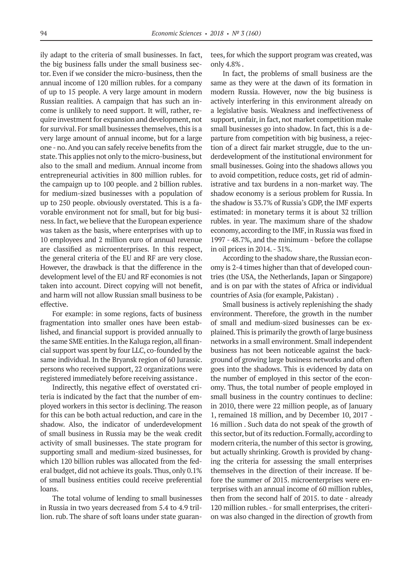ily adapt to the criteria of small businesses. In fact, the big business falls under the small business sector. Even if we consider the micro-business, then the annual income of 120 million rubles. for a company of up to 15 people. A very large amount in modern Russian realities. A campaign that has such an income is unlikely to need support. It will, rather, require investment for expansion and development, not for survival. For small businesses themselves, this is a very large amount of annual income, but for a large one - no. And you can safely receive benefits from the state. This applies not only to the micro-business, but also to the small and medium. Annual income from entrepreneurial activities in 800 million rubles. for the campaign up to 100 people. and 2 billion rubles. for medium-sized businesses with a population of up to 250 people. obviously overstated. This is a favorable environment not for small, but for big business. In fact, we believe that the European experience was taken as the basis, where enterprises with up to 10 employees and 2 million euro of annual revenue are classified as microenterprises. In this respect, the general criteria of the EU and RF are very close. However, the drawback is that the difference in the development level of the EU and RF economies is not taken into account. Direct copying will not benefit, and harm will not allow Russian small business to be effective.

For example: in some regions, facts of business fragmentation into smaller ones have been established, and financial support is provided annually to the same SME entities. In the Kaluga region, all financial support was spent by four LLC, co-founded by the same individual. In the Bryansk region of 60 Jurassic. persons who received support, 22 organizations were registered immediately before receiving assistance .

Indirectly, this negative effect of overstated criteria is indicated by the fact that the number of employed workers in this sector is declining. The reason for this can be both actual reduction, and care in the shadow. Also, the indicator of underdevelopment of small business in Russia may be the weak credit activity of small businesses. The state program for supporting small and medium-sized businesses, for which 120 billion rubles was allocated from the federal budget, did not achieve its goals. Thus, only 0.1% of small business entities could receive preferential loans.

The total volume of lending to small businesses in Russia in two years decreased from 5.4 to 4.9 trillion. rub. The share of soft loans under state guarantees, for which the support program was created, was only 4.8% .

In fact, the problems of small business are the same as they were at the dawn of its formation in modern Russia. However, now the big business is actively interfering in this environment already on a legislative basis. Weakness and ineffectiveness of support, unfair, in fact, not market competition make small businesses go into shadow. In fact, this is a departure from competition with big business, a rejection of a direct fair market struggle, due to the underdevelopment of the institutional environment for small businesses. Going into the shadows allows you to avoid competition, reduce costs, get rid of administrative and tax burdens in a non-market way. The shadow economy is a serious problem for Russia. In the shadow is 33.7% of Russia's GDP, the IMF experts estimated: in monetary terms it is about 32 trillion rubles. in year. The maximum share of the shadow economy, according to the IMF, in Russia was fixed in 1997 - 48.7%, and the minimum - before the collapse in oil prices in 2014. - 31%.

According to the shadow share, the Russian economy is 2-4 times higher than that of developed countries (the USA, the Netherlands, Japan or Singapore) and is on par with the states of Africa or individual countries of Asia (for example, Pakistan) .

Small business is actively replenishing the shady environment. Therefore, the growth in the number of small and medium-sized businesses can be explained. This is primarily the growth of large business networks in a small environment. Small independent business has not been noticeable against the background of growing large business networks and often goes into the shadows. This is evidenced by data on the number of employed in this sector of the economy. Thus, the total number of people employed in small business in the country continues to decline: in 2010, there were 22 million people, as of January 1, remained 18 million, and by December 10, 2017 - 16 million . Such data do not speak of the growth of this sector, but of its reduction. Formally, according to modern criteria, the number of this sector is growing, but actually shrinking. Growth is provided by changing the criteria for assessing the small enterprises themselves in the direction of their increase. If before the summer of 2015. microenterprises were enterprises with an annual income of 60 million rubles, then from the second half of 2015. to date - already 120 million rubles. - for small enterprises, the criterion was also changed in the direction of growth from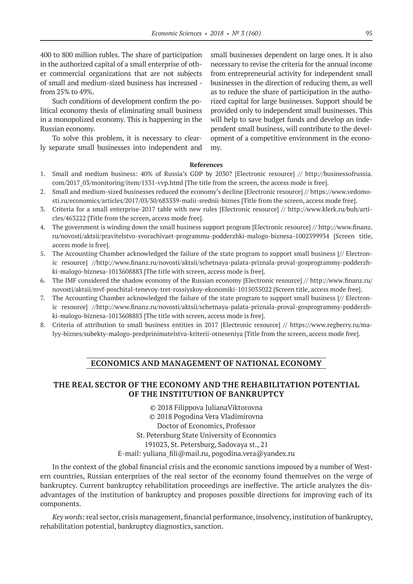400 to 800 million rubles. The share of participation in the authorized capital of a small enterprise of other commercial organizations that are not subjects of small and medium-sized business has increased from 25% to 49%.

Such conditions of development confirm the political economy thesis of eliminating small business in a monopolized economy. This is happening in the Russian economy.

To solve this problem, it is necessary to clearly separate small businesses into independent and small businesses dependent on large ones. It is also necessary to revise the criteria for the annual income from entrepreneurial activity for independent small businesses in the direction of reducing them, as well as to reduce the share of participation in the authorized capital for large businesses. Support should be provided only to independent small businesses. This will help to save budget funds and develop an independent small business, will contribute to the development of a competitive environment in the economy.

#### **References**

- 1. Small and medium business: 40% of Russia's GDP by 2030? [Electronic resource] // http://businessofrussia. com/2017\_03/monitoring/item/1531-vvp.html [The title from the screen, the access mode is free].
- 2. Small and medium-sized businesses reduced the economy's decline [Electronic resource] // https://www.vedomosti.ru/economics/articles/2017/03/30/683339-malii-srednii-biznes [Title from the screen, access mode free].
- 3. Criteria for a small enterprise-2017 table with new rules [Electronic resource] // http://www.klerk.ru/buh/articles/463222 [Title from the screen, access mode free].
- 4. The government is winding down the small business support program [Electronic resource] // http://www.finanz. ru/novosti/aktsii/pravitelstvo-svorachivaet-programmu-podderzhki-malogo-biznesa‑1002399934 [Screen title, access mode is free].
- 5. The Accounting Chamber acknowledged the failure of the state program to support small business [// Electronic resource] //http://www.finanz.ru/novosti/aktsii/schetnaya-palata-priznala-proval-gosprogrammy-podderzhki-malogo-biznesa-1013608883 [The title with screen, access mode is free].
- 6. The IMF considered the shadow economy of the Russian economy [Electronic resource] // http://www.finanz.ru/ novosti/aktsii/mvf-poschital-tenevoy-tret-rossiyskoy-ekonomiki-1015035022 [Screen title, access mode free].
- 7. The Accounting Chamber acknowledged the failure of the state program to support small business [// Electronic resource] //http://www.finanz.ru/novosti/aktsii/schetnaya-palata-priznala-proval-gosprogrammy-podderzhki-malogo-biznesa-1013608883 [The title with screen, access mode is free].
- 8. Criteria of attribution to small business entities in 2017 [Electronic resource] // https://www.regberry.ru/malyy-biznes/subekty-malogo-predprinimatelstva-kriterii-otneseniya [Title from the screen, access mode free].

## **ECONOMICS AND MANAGEMENT OF NATIONAL ECONOMY**

# **THE REAL SECTOR OF THE ECONOMY AND THE REHABILITATION POTENTIAL OF THE INSTITUTION OF BANKRUPTCY**

©© 2018 Filippova JulianaViktorovna ©© 2018 Pogodina Vera Vladimirovna Doctor of Economics, Professor St. Petersburg State University of Economics 191023, St. Petersburg, Sadovaya st., 21 E-mail: yuliana\_fili@mail.ru, pogodina.vera@yandex.ru

In the context of the global financial crisis and the economic sanctions imposed by a number of Western countries, Russian enterprises of the real sector of the economy found themselves on the verge of bankruptcy. Current bankruptcy rehabilitation proceedings are ineffective. The article analyzes the disadvantages of the institution of bankruptcy and proposes possible directions for improving each of its components.

*Key words:* real sector, crisis management, financial performance, insolvency, institution of bankruptcy, rehabilitation potential, bankruptcy diagnostics, sanction.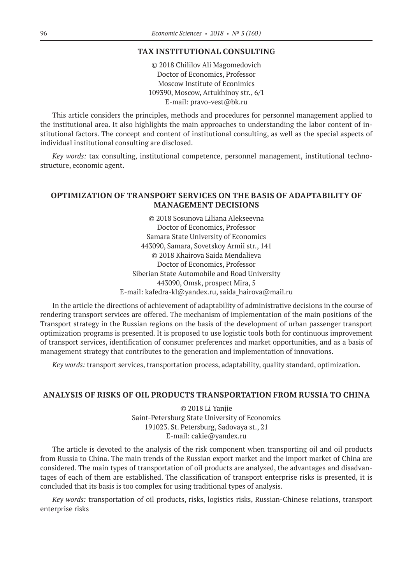## **TAX INSTITUTIONAL CONSULTING**

©© 2018 Chililov Ali Magomedovich Doctor of Economics, Professor Moscow Institute of Econimics 109390, Moscow, Artukhinoy str., 6/1 Е-mail: pravo-vest@bk.ru

This article considers the principles, methods and procedures for personnel management applied to the institutional area. It also highlights the main approaches to understanding the labor content of institutional factors. The concept and content of institutional consulting, as well as the special aspects of individual institutional consulting are disclosed.

*Key words:* tax consulting, institutional competence, personnel management, institutional technostructure, economic agent.

# **OPTIMIZATION OF TRANSPORT SERVICES ON THE BASIS OF ADAPTABILITY OF MANAGEMENT DECISIONS**

©© 2018 Sosunova Liliana Alekseevna Doctor of Economics, Professor Samara State University of Economics 443090, Samara, Sovetskoy Armii str., 141 ©© 2018 Khairova Saida Mendalieva Doctor of Economics, Professor Siberian State Automobile and Road University 443090, Omsk, prospect Mira, 5 E-mail: kafedra-kl@yandex.ru, saida\_hairova@mail.ru

In the article the directions of achievement of adaptability of administrative decisions in the course of rendering transport services are offered. The mechanism of implementation of the main positions of the Transport strategy in the Russian regions on the basis of the development of urban passenger transport optimization programs is presented. It is proposed to use logistic tools both for continuous improvement of transport services, identification of consumer preferences and market opportunities, and as a basis of management strategy that contributes to the generation and implementation of innovations.

*Key words:* transport services, transportation process, adaptability, quality standard, optimization.

# **ANALYSIS OF RISKS OF OIL PRODUCTS TRANSPORTATION FROM RUSSIA TO CHINA**

©© 2018 Li Yanjie Saint-Petersburg State University of Economics 191023. St. Petersburg, Sadovaya st., 21 E-mail: cakie@yandex.ru

The article is devoted to the analysis of the risk component when transporting oil and oil products from Russia to China. The main trends of the Russian export market and the import market of China are considered. The main types of transportation of oil products are analyzed, the advantages and disadvantages of each of them are established. The classification of transport enterprise risks is presented, it is concluded that its basis is too complex for using traditional types of analysis.

*Key words:* transportation of oil products, risks, logistics risks, Russian-Chinese relations, transport enterprise risks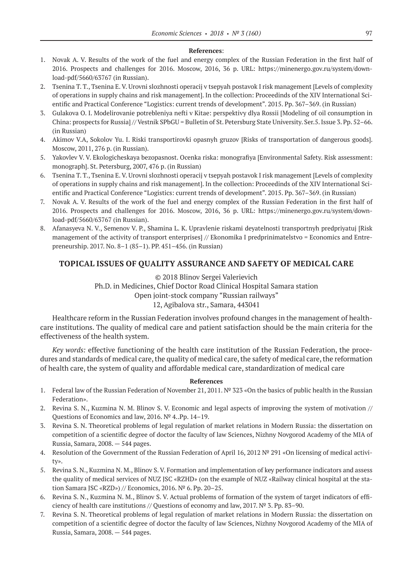#### **References**:

- 1. Novak A. V. Results of the work of the fuel and energy complex of the Russian Federation in the first half of 2016. Prospects and challenges for 2016. Moscow, 2016, 36 p. URL: https://minenergo.gov.ru/system/download-pdf/5660/63767 (in Russian).
- 2. Tsenina T. T., Tsenina E. V. Urovni slozhnosti operacij v tsepyah postavok I risk management [Levels of complexity of operations in supply chains and risk management]. In the collection: Proceedinds of the XIV International Scientific and Practical Conference "Logistics: current trends of development". 2015. Pp. 367–369. (in Russian)
- 3. Gulakova O. I. Modelirovanie potrebleniya nefti v Kitae: perspektivy dlya Rossii [Modeling of oil consumption in China: prospects for Russia] // Vestnik SPbGU = Bulletin of St. Petersburg State University. Ser.5. Issue 3. Pp. 52–66. (in Russian)
- 4. Akimov V.A, Sokolov Yu. I. Riski transportirovki opasnyh gruzov [Risks of transportation of dangerous goods]. Moscow, 2011, 276 p. (in Russian).
- 5. Yakovlev V. V. Ekologicheskaya bezopasnost. Ocenka riska: monografiya [Environmental Safety. Risk assessment: monograph]. St. Petersburg, 2007, 476 p. (in Russian)
- 6. Tsenina T. T., Tsenina E. V. Urovni slozhnosti operacij v tsepyah postavok I risk management [Levels of complexity of operations in supply chains and risk management]. In the collection: Proceedinds of the XIV International Scientific and Practical Conference "Logistics: current trends of development". 2015. Pp. 367–369. (in Russian)
- 7. Novak A. V. Results of the work of the fuel and energy complex of the Russian Federation in the first half of 2016. Prospects and challenges for 2016. Moscow, 2016, 36 p. URL: https://minenergo.gov.ru/system/download-pdf/5660/63767 (in Russian).
- 8. Afanasyeva N. V., Semenov V. P., Shamina L. K. Upravlenie riskami deyatelnosti transportnyh predpriyatuj [Risk management of the activity of transport enterprises] // Ekonomika I predprinimatelstvo = Economics and Entrepreneurship. 2017. No. 8–1 (85–1). PP. 451–456. (in Russian)

# **TOPICAL ISSUES OF QUALITY ASSURANCE AND SAFETY OF MEDICAL CARE**

©© 2018 Blinov Sergei Valerievich Ph.D. in Medicines, Chief Doctor Road Clinical Hospital Samara station Open joint-stock company "Russian railways" 12, Agibalova str., Samara, 443041

Healthcare reform in the Russian Federation involves profound changes in the management of healthcare institutions. The quality of medical care and patient satisfaction should be the main criteria for the effectiveness of the health system.

*Key words:* effective functioning of the health care institution of the Russian Federation, the procedures and standards of medical care, the quality of medical care, the safety of medical care, the reformation of health care, the system of quality and affordable medical care, standardization of medical care

#### **References**

- 1. Federal law of the Russian Federation of November 21, 2011. № 323 «Оn the basics of public health in the Russian Federation».
- 2. Revina S. N., Kuzmina N. M. Blinov S. V. Economic and legal aspects of improving the system of motivation // Questions of Economics and law, 2016. № 4..Pp. 14–19.
- 3. Revina S. N. Theoretical problems of legal regulation of market relations in Modern Russia: the dissertation on competition of a scientific degree of doctor the faculty of law Sciences, Nizhny Novgorod Academy of the MIA of Russia, Samara, 2008. — 544 pages.
- 4. Resolution of the Government of the Russian Federation of April 16, 2012 № 291 «Оn licensing of medical activity».
- 5. Revina S. N., Kuzmina N. M., Blinov S. V. Formation and implementation of key performance indicators and assess the quality of medical services of NUZ JSC «RZHD» (on the example of NUZ «Railway clinical hospital at the station Samara JSC «RZD») // Economics, 2016. № 6. Pp. 20–25.
- 6. Revina S. N., Kuzmina N. M., Blinov S. V. Actual problems of formation of the system of target indicators of efficiency of health care institutions // Questions of economy and law, 2017.  $N^{\circ}$  3. Pp. 83–90.
- 7. Revina S. N. Theoretical problems of legal regulation of market relations in Modern Russia: the dissertation on competition of a scientific degree of doctor the faculty of law Sciences, Nizhny Novgorod Academy of the MIA of Russia, Samara, 2008. — 544 pages.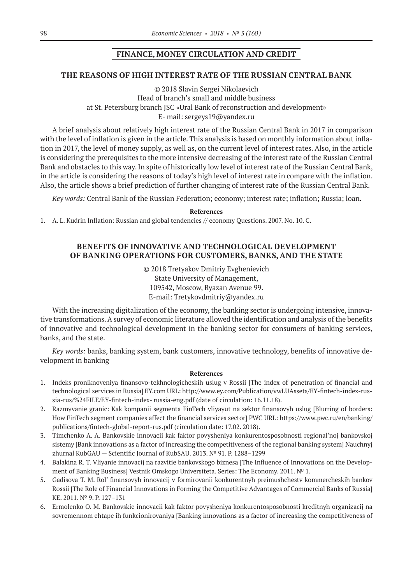# **FINANCE, MONEY CIRCULATION AND CREDIT**

## **THE REASONS OF HIGH INTEREST RATE OF THE RUSSIAN CENTRAL BANK**

©© 2018 Slavin Sergei Nikolaevich Head of branch's small and middle business at St. Petersburg branch JSC «Ural Bank of reconstruction and development» Е- mail: sergeys19@yandex.ru

A brief analysis about relatively high interest rate of the Russian Central Bank in 2017 in comparison with the level of inflation is given in the article. This analysis is based on monthly information about inflation in 2017, the level of money supply, as well as, on the current level of interest rates. Also, in the article is considering the prerequisites to the more intensive decreasing of the interest rate of the Russian Central Bank and obstacles to this way. In spite of historically low level of interest rate of the Russian Central Bank, in the article is considering the reasons of today's high level of interest rate in compare with the inflation. Also, the article shows a brief prediction of further changing of interest rate of the Russian Central Bank.

*Key words:* Central Bank of the Russian Federation; economy; interest rate; inflation; Russia; loan.

#### **References**

1. A. L. Kudrin Inflation: Russian and global tendencies // economy Questions. 2007. No. 10. C.

# **BENEFITS OF INNOVATIVE AND TECHNOLOGICAL DEVELOPMENT OF BANKING OPERATIONS FOR CUSTOMERS, BANKS, AND THE STATE**

©© 2018 Tretyakov Dmitriy Evghenievich State University of Management, 109542, Moscow, Ryazan Avenue 99. E-mail: Tretykovdmitriy@yandex.ru

With the increasing digitalization of the economy, the banking sector is undergoing intensive, innovative transformations. A survey of economic literature allowed the identification and analysis of the benefits of innovative and technological development in the banking sector for consumers of banking services, banks, and the state.

*Key words:* banks, banking system, bank customers, innovative technology, benefits of innovative development in banking

#### **References**

- 1. Indeks proniknoveniya finansovo-tekhnologicheskih uslug v Rossii [The index of penetration of financial and technological services in Russia] EY.com URL: http://www.ey.com/Publication/vwLUAssets/EY-fintech-index-russia-rus/%24FILE/EY-fintech-index- russia-eng.pdf (date of circulation: 16.11.18).
- 2. Razmyvanie granic: Kak kompanii segmenta FinTech vliyayut na sektor finansovyh uslug [Blurring of borders: How FinTech segment companies affect the financial services sector] PWC URL: https://www.pwc.ru/en/banking/ publications/fintech-global-report-rus.pdf (circulation date: 17.02. 2018).
- 3. Timchenko A. A. Bankovskie innovacii kak faktor povysheniya konkurentosposobnosti regional'noj bankovskoj sistemy [Bank innovations as a factor of increasing the competitiveness of the regional banking system] Nauchnyj zhurnal KubGAU — Scientific Journal of KubSAU. 2013. № 91. P. 1288–1299
- 4. Balakina R. T. Vliyanie innovacij na razvitie bankovskogo biznesa [The Influence of Innovations on the Development of Banking Business] Vestnik Omskogo Universiteta. Series: The Economy. 2011. Nº 1.
- 5. Gadisova T. M. Rol' finansovyh innovacij v formirovanii konkurentnyh preimushchestv kommercheskih bankov Rossii [The Role of Financial Innovations in Forming the Competitive Advantages of Commercial Banks of Russia] KE. 2011. № 9. P. 127–131
- 6. Ermolenko O. M. Bankovskie innovacii kak faktor povysheniya konkurentosposobnosti kreditnyh organizacij na sovremennom ehtape ih funkcionirovaniya [Banking innovations as a factor of increasing the competitiveness of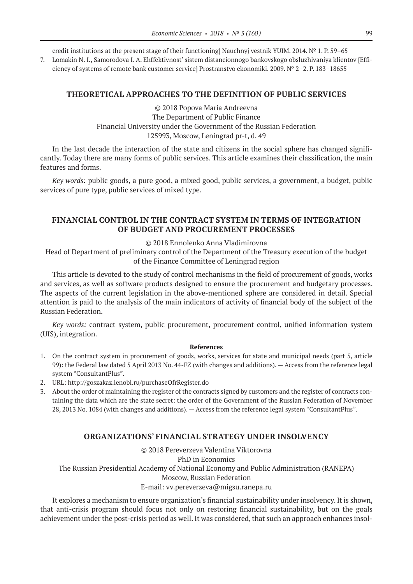credit institutions at the present stage of their functioning] Nauchnyj vestnik YUIM. 2014. № 1. P. 59–65

7. Lomakin N. I., Samorodova I. A. Ehffektivnost' sistem distancionnogo bankovskogo obsluzhivaniya klientov [Efficiency of systems of remote bank customer service] Prostranstvo ekonomiki. 2009. № 2–2. P. 183–18655

## **THEORETICAL APPROACHES TO THE DEFINITION OF PUBLIC SERVICES**

©© 2018 Popova Maria Andreevna Тhe Department of Public Finance Financial University under the Government of the Russian Federation 125993, Moscow, Leningrad pr-t, d. 49

In the last decade the interaction of the state and citizens in the social sphere has changed significantly. Today there are many forms of public services. This article examines their classification, the main features and forms.

*Key words:* public goods, a pure good, a mixed good, public services, a government, a budget, public services of pure type, public services of mixed type.

# **FINANCIAL CONTROL IN THE CONTRACT SYSTEM IN TERMS OF INTEGRATION OF BUDGET AND PROCUREMENT PROCESSES**

©© 2018 Ermolenko Anna Vladimirovna

Head of Department of preliminary control of the Department of the Treasury execution of the budget of the Finance Committee of Leningrad region

This article is devoted to the study of control mechanisms in the field of procurement of goods, works and services, as well as software products designed to ensure the procurement and budgetary processes. The aspects of the current legislation in the above-mentioned sphere are considered in detail. Special attention is paid to the analysis of the main indicators of activity of financial body of the subject of the Russian Federation.

*Key words:* contract system, public procurement, procurement control, unified information system (UIS), integration.

#### **References**

- 1. On the contract system in procurement of goods, works, services for state and municipal needs (part 5, article 99): the Federal law dated 5 April 2013 No. 44-FZ (with changes and additions). — Access from the reference legal system "ConsultantPlus".
- 2. URL: http://goszakaz.lenobl.ru/purchaseOfrRegister.do
- 3. About the order of maintaining the register of the contracts signed by customers and the register of contracts containing the data which are the state secret: the order of the Government of the Russian Federation of November 28, 2013 No. 1084 (with changes and additions). — Access from the reference legal system "ConsultantPlus".

## **ORGANIZATIONS' FINANCIAL STRATEGY UNDER INSOLVENCY**

©© 2018 Pereverzeva Valentina Viktorovna PhD in Economics The Russian Presidential Academy of National Economy and Public Administration (RANEPA) Moscow, Russian Federation E-mail: vv.pereverzeva@migsu.ranepa.ru

It explores a mechanism to ensure organization's financial sustainability under insolvency. It is shown, that anti-crisis program should focus not only on restoring financial sustainability, but on the goals achievement under the post-crisis period as well. It was considered, that such an approach enhances insol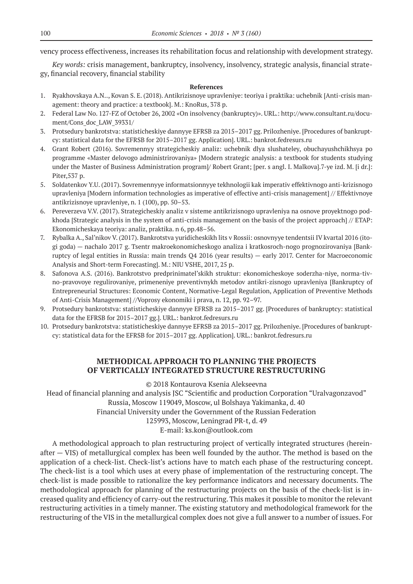vency process effectiveness, increases its rehabilitation focus and relationship with development strategy.

*Key words:* crisis management, bankruptcy, insolvency, insolvency, strategic analysis, financial strategy, financial recovery, financial stability

## **References**

- 1. Ryakhovskaya A.N.., Kovan S. E. (2018). Antikrizisnoye upravleniye: teoriya i praktika: uchebnik [Anti-crisis management: theory and practice: a textbook]. M.: KnoRus, 378 p.
- 2. Federal Law No. 127-FZ of October 26, 2002 «On insolvency (bankruptcy)». URL.: http://www.consultant.ru/document/Cons\_doc\_LAW\_39331/
- 3. Protsedury bankrotstva: statisticheskiye dannyye EFRSB za 2015–2017 gg. Prilozheniye. [Procedures of bankruptcy: statistical data for the EFRSB for 2015–2017 gg. Application]. URL.: bankrot.fedresurs.ru
- 4. Grant Robert (2016). Sovremennyy strategicheskiy analiz: uchebnik dlya slushateley, obuchayushchikhsya po programme «Master delovogo administrirovaniya» [Modern strategic analysis: a textbook for students studying under the Master of Business Administration program]/ Robert Grant; [per. s angl. I. Malkova].7-ye izd. M. [i dr.]: Piter,537 p.
- 5. Soldatenkov Y.U. (2017). Sovremennyye informatsionnyye tekhnologii kak imperativ effektivnogo anti-krizisnogo upravleniya [Modern information technologies as imperative of effective anti-crisis management] // Effektivnoye antikrizisnoye upravleniye, n. 1 (100), pp. 50–53.
- 6. Pereverzeva V.V. (2017). Strategicheskiy analiz v sisteme antikrizisnogo upravleniya na osnove proyektnogo podkhoda [Strategic analysis in the system of anti-crisis management on the basis of the project approach] // ETAP: Ekonomicheskaya teoriya: analiz, praktika. n 6, pp.48–56.
- 7. Rybalka A., Sal'nikov V. (2017). Bankrotstva yuridicheskikh lits v Rossii: osnovnyye tendentsii IV kvartal 2016 (itogi goda) — nachalo 2017 g. Tsentr makroekonomicheskogo analiza i kratkosroch-nogo prognozirovaniya [Bankruptcy of legal entities in Russia: main trends Q4 2016 (year results) — early 2017. Center for Macroeconomic Analysis and Short-term Forecasting]. M.: NIU VSHE, 2017, 25 p.
- 8. Safonova A.S. (2016). Bankrotstvo predprinimatel'skikh struktur: ekonomicheskoye soderzha-niye, norma-tivno-pravovoye regulirovaniye, primeneniye preventivnykh metodov antikri-zisnogo upravleniya [Bankruptcy of Entrepreneurial Structures: Economic Content, Normative-Legal Regulation, Application of Preventive Methods of Anti-Crisis Management] //Voprosy ekonomiki i prava, n. 12, pp. 92–97.
- 9. Protsedury bankrotstva: statisticheskiye dannyye EFRSB za 2015–2017 gg. [Procedures of bankruptcy: statistical data for the EFRSB for 2015–2017 gg.]. URL.: bankrot.fedresurs.ru
- 10. Protsedury bankrotstva: statisticheskiye dannyye EFRSB za 2015–2017 gg. Prilozheniye. [Procedures of bankruptcy: statistical data for the EFRSB for 2015–2017 gg. Application]. URL.: bankrot.fedresurs.ru

# **METHODICAL APPROACH TO PLANNING THE PROJECTS OF VERTICALLY INTEGRATED STRUCTURE RESTRUCTURING**

©© 2018 Kontaurova Ksenia Alekseevna

Head of financial planning and analysis JSC "Scientific and production Corporation "Uralvagonzavod" Russia, Moscow 119049, Moscow, ul Bolshaya Yakimanka, d. 40

Financial University under the Government of the Russian Federation

125993, Moscow, Leningrad PR-t, d. 49

E-mail: ks.kon@outlook.com

A methodological approach to plan restructuring project of vertically integrated structures (hereinafter — VIS) of metallurgical complex has been well founded by the author. The method is based on the application of a check-list. Check-list's actions have to match each phase of the restructuring concept. The check-list is a tool which uses at every phase of implementation of the restructuring concept. The check-list is made possible to rationalize the key performance indicators and necessary documents. The methodological approach for planning of the restructuring projects on the basis of the check-list is increased quality and efficiency of carry-out the restructuring. This makes it possible to monitor the relevant restructuring activities in a timely manner. The existing statutory and methodological framework for the restructuring of the VIS in the metallurgical complex does not give a full answer to a number of issues. For